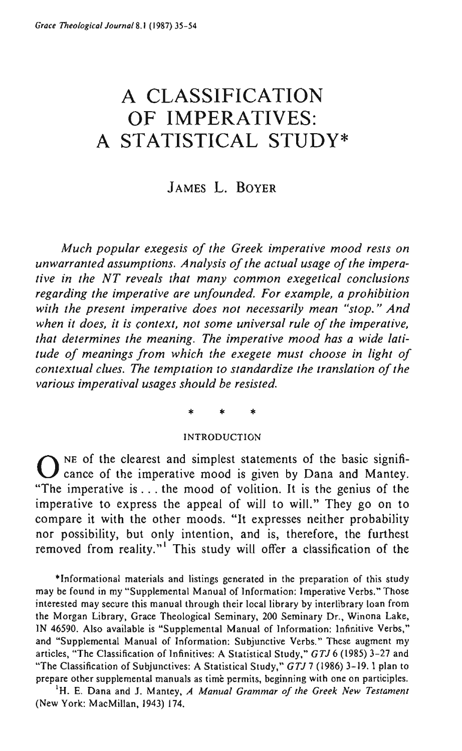# A **CLASSIFICATION OF IMPERATIVES:**  A **STATISTICAL STUDY\***

# JAMES L. BOYER

*Much popular exegesis of the Greek imperative mood rests on unwarranted assumptions. Analysis of the actual usage of the imperative in the NT reveals that many common exegetical conclusions regarding the imperative are unfounded. For example, a prohibition with the present imperative does not necessarily mean "stop." And when it does, it is (ontext, not some universal rule of the imperative, that determines the meaning. The imperative mood has a wide latitude of meanings from which the exegete must choose in light of contextual clues. The temptation to standardize the translation of the various imperatival usages should be resisted.* 

\* \* \*

#### INTRODUCTION

 $O$  NE of the clearest and simplest statements of the basic significance of the imperative mood is given by Dana and Mantey. "The imperative is ... the mood of volition. It is the genius of the imperative to express the appeal of will to will." They go on to compare it with the other moods. "It expresses neither probability nor possibility, but only intention, and is, therefore, the furthest removed from reality."<sup>1</sup> This study will offer a classification of the

**\*Informational materials and listings generated in the preparation of this study**  may be found in my "Supplemental Manual of Information: Imperative Verbs." Those **interested may secure this manual through their** local library **by interlibrary loan from the Morgan Library, Grace Theological Seminary, 200 Seminary Dr., Winona Lake,**  IN 46590. Also available is "Supplemental Manual of Information: Infinitive Verbs," and "Supplemental Manual of Information: Subjunctive Verbs." These augment my articles, "The Classification of Infinitives: A Statistical Study," *GTJ* 6 (1985) 3-27 and "The Classification of Subjunctives: A Statistical Study," *GTJ* 7 (1986) 3-19. I plan to prepare other supplemental manuals as time permits, beginning with One on participles.

'H. E. Dana and J. Mantey, *A Manual Grammar of the Greek New Testament*  (New York: MacMillan, 1943) 174.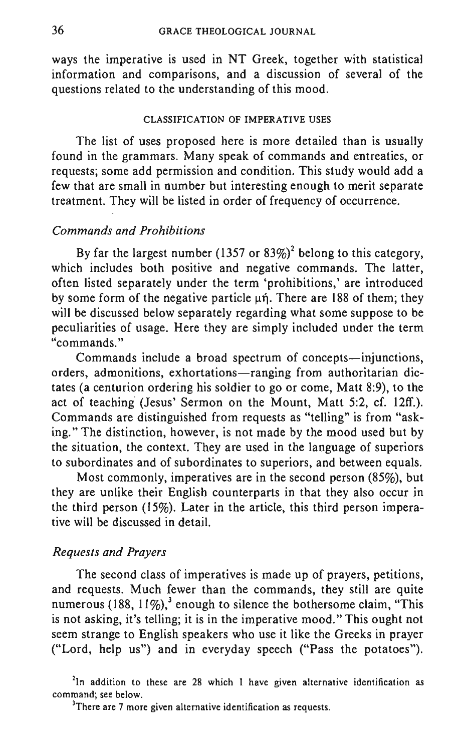ways the imperative is used in NT Greek, together with statistical information and comparisons, and a discussion of several of the questions related to the understanding of this mood.

#### CLASSIFICATION OF IMPERATIVE USES

The list of uses proposed here is more detailed than is usually found in the grammars. Many speak of commands and entreaties, or requests; some add permission and condition. This study would add a few that are small in number but interesting enough to merit separate treatment. They will be listed in order of frequency of occurrence.

# *Commands and Prohibitions*

By far the largest number (1357 or  $83\%)^2$  belong to this category, which includes both positive and negative commands. The latter, often listed separately under the term 'prohibitions,' are introduced by some form of the negative particle  $\mu$ n. There are 188 of them; they will be discussed below separately regarding what some suppose to be peculiarities of usage. Here they are simply included under the term '~commands. "

Commands include a broad spectrum of concepts-injunctions, orders, admonitions, exhortations-ranging from authoritarian dictates (a centurion ordering his soldier to go or come, Matt 8:9), to the act of teaching (Jesus' Sermon on the Mount, Matt 5:2, cf. 12ff.). Commands are distinguished from requests as "telling" is from "asking." The distinction, however, is not made by the mood used but by the situation, the context. They are used in the language of superiors to subordinates and of subordinates to superiors, and between equals.

Most commonly, imperatives are in the second person  $(85\%)$ , but they are unlike their English counterparts in that they also occur in the third person (15%). Later in the article, this third person imperative will be discussed in detail.

## *Requests and Prayers*

The second class of imperatives is made up of prayers, petitions, and requests. Much fewer than the commands, they still are quite numerous (188,  $11\%$ ),<sup>3</sup> enough to silence the bothersome claim, "This is not asking, it's telling; it is in the imperative mood." This ought not seem strange to English speakers who use it like the Greeks in prayer ("Lord, help us") and in everyday speech ("Pass the potatoes").

<sup>&</sup>lt;sup>2</sup>In addition to these are 28 which I have given alternative identification as **command; see below.** 

**<sup>3</sup>There are 7 more given alternative identification as requests.**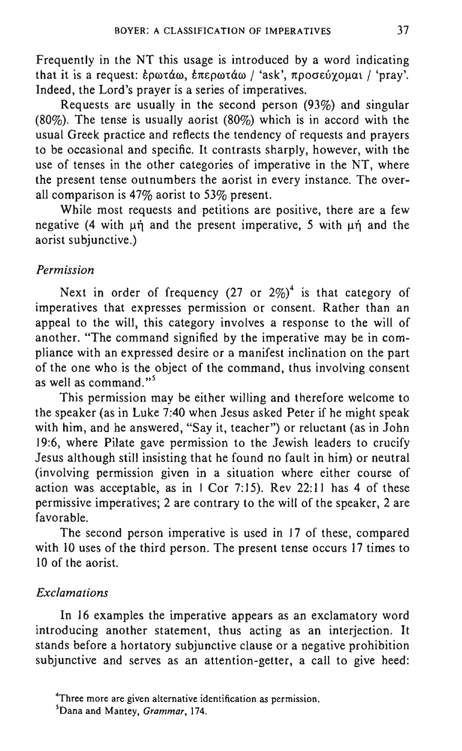Frequently in the NT this usage is introduced by a word indicating that it is a request: έρωτάω, έπερωτάω / 'ask', προσεύχομαι / 'pray'. Indeed, the Lord's prayer is a series of imperatives.

Requests are usually in the second person (93%) and singular (80%). The tense is usually aorist (80%) which is in accord with the usual Greek practice and reflects the tendency of requests and prayers to be occasional and specific. It contrasts sharply, however, with the use of tenses in the other categories of imperative in the NT, where the present tense outnumbers the aorist in every instance. The overall comparison is 47% aorist to 53% present.

While most requests and petitions are positive, there are a few negative  $(4 \text{ with } u\text{)}$  and the present imperative, 5 with  $\text{ln}$  and the aorist subjunctive.)

## *Permission*

Next in order of frequency (27 or  $2\%$ )<sup>4</sup> is that category of imperatives that expresses permission or consent. Rather than an appeal to the will, this category involves a response to the will of another. "The command signified by the imperative may be in compliance with an expressed desire or a manifest inclination on the part of the one who is the object of the command, thus involving consent as well as command."<sup>5</sup>

This permission may be either willing and therefore welcome to the speaker (as in Luke 7:40 when Jesus asked Peter if he might speak with him, and he answered, "Say it, teacher") or reluctant (as in John 19:6, where Pilate gave permission to the Jewish leaders to crucify Jesus although still insisting that he found no fault in him) or neutral (involving permission given in a situation where either course of action was acceptable, as in  $\vert$  Cor 7:15). Rev 22:11 has 4 of these permissive imperatives; 2 are contrary to the will of the speaker, 2 are favorable.

The second person imperative is used in 17 of these, compared with 10 uses of the third person. The present tense occurs 17 times to 10 of the aorist.

# *Exclamations*

In 16 examples the imperative appears as an exclamatory word introducing another statement, thus acting as an interjection. It stands before a hortatory subjunctive clause or a negative prohibition subjunctive and serves as an attention-getter, a call to give heed:

**<sup>4</sup>Three more are given alternative identification as permission.** 

**<sup>5</sup>Dana and Mantey,** *Grammar, 174.*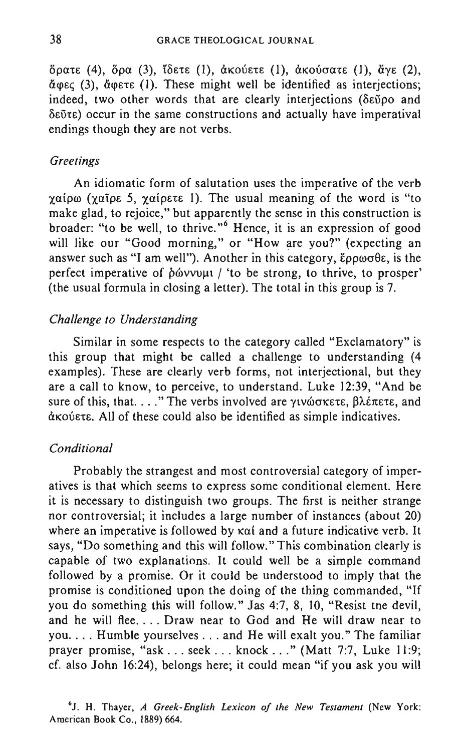δρατε (4), δρα (3), ίδετε (1), άκούετε (1), άκούσατε (1), άγε (2),  $\check{a}$  (3),  $\check{a}$  (exerge (1). These might well be identified as interjections; indeed, two other words that are clearly interjections ( $\delta \tilde{\epsilon}$ 00 and  $\delta$ εῦτε) occur in the same constructions and actually have imperatival endings though they are not verbs.

## *Greetings*

An idiomatic form of salutation uses the imperative of the verb  $χα$ ίρω (χαΐρε 5, χαίρετε 1). The usual meaning of the word is "to make glad, to rejoice," but apparently the sense in this construction is broader: "to be well, to thrive."<sup>6</sup> Hence, it is an expression of good will like our "Good morning," or "How are you?" (expecting an answer such as "I am well"). Another in this category,  $\epsilon \rho \rho \omega \sigma \theta \epsilon$ , is the perfect imperative of  $\phi$  wvvull / 'to be strong, to thrive, to prosper' (the usual formula in closing a letter). The total in this group is 7.

## *Challenge to Understanding*

Similar in some respects to the category called "Exclamatory" is this group that might be called a challenge to understanding (4 examples). These are clearly verb forms, not interjectional, but they are a call to know, to perceive, to understand. Luke 12:39, "And be sure of this, that. . . ." The verbs involved are  $\gamma\iota\nu\omega\sigma\kappa\varepsilon\tau\epsilon$ ,  $\beta\lambda\epsilon\pi\varepsilon\tau\epsilon$ , and  $d$ KOÚETE. All of these could also be identified as simple indicatives.

## *Conditional*

Probably the strangest and most controversial category of imperatives is that which seems to express some conditional element. Here it is necessary to distinguish two groups. The first is neither strange nor controversial; it includes a large number of instances (about 20) where an imperative is followed by kai and a future indicative verb. It says, "Do something and this will follow." This combination clearly is capable of two explanations. It could well be a simple command followed by a promise. Or it could be understood to imply that the promise is conditioned upon the doing of the thing commanded, "If you do something this will follow." Jas 4:7,8, 10, "Resist tne devil, and he will flee.... Draw near to God and He will draw near to you .... Humble yourselves ... and He will exalt you." The familiar prayer promise, "ask ... seek ... knock ... " (Matt 7:7, Luke **11** :9; cf. also John 16:24), belongs here; it could mean "if you ask you will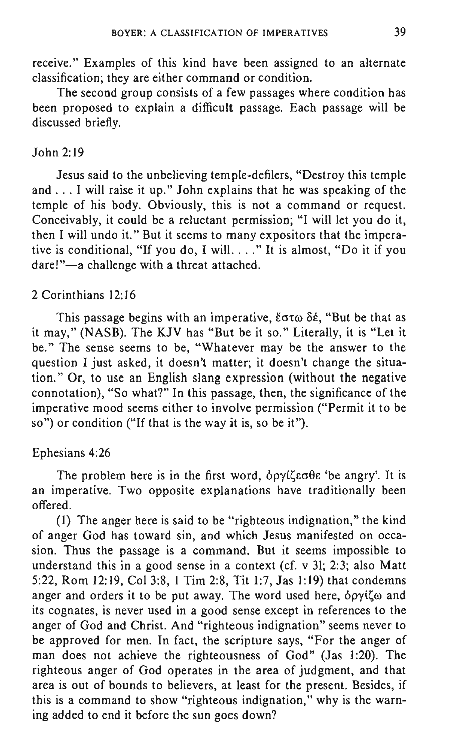receive." Examples of this kind have been assigned to an alternate classification; they are either command or condition.

The second group consists of a few passages where condition has been proposed to explain a difficult passage. Each passage will be discussed briefly.

## John 2:19

Jesus said to the unbelieving temple-defilers, "Destroy this temple and ... I will raise it up." John explains that he was speaking of the temple of his body. Obviously, this is not a command or request. Conceivably, it could be a reluctant permission; "I will let you do it, then I will undo it." But it seems to many expositors that the imperative is conditional, "If you do, I will. . . . " It is almost, "Do it if you dare!"-a challenge with a threat attached.

# 2 Corinthians 12:16

This passage begins with an imperative,  $\epsilon \sigma \tau \omega \delta \epsilon$ , "But be that as it may," (NASB). The KJV has "But be it so." Literally, it is "Let it be." The sense seems to be, "Whatever may be the answer to the question I just asked, it doesn't matter; it doesn't change the situation." Or, to use an English slang expression (without the negative connotation), "So what?" In this passage, then, the significance of the imperative mood seems either to involve permission ("Permit it to be so") or condition ("If that is the way it is, so be it").

## Ephesians 4:26

The problem here is in the first word,  $\delta \rho \gamma$  ( $\zeta \epsilon \sigma \theta \epsilon$  'be angry'. It is an imperative. Two opposite explanations have traditionally been offered.

(I) The anger here is said to be "righteous indignation," the kind of anger God has toward sin, and which Jesus manifested on occasion. Thus the passage is a command. But it seems impossible to understand this in a good sense in a context (cf. v 31; 2:3; also Matt 5:22, Rom 12:19, Col 3:8, I Tim 2:8, Tit 1:7, Jas 1:19) that condemns anger and orders it to be put away. The word used here,  $\delta \rho \gamma i \zeta \omega$  and its cognates, is never used in a good sense except in references to the anger of God and Christ. And "righteous indignation" seems never to be approved for men. In fact, the scripture says, "For the anger of man does not achieve the righteousness of God" (Jas 1:20). The righteous anger of God operates in the area of judgment, and that area is out of bounds to believers, at least for the present. Besides, if this is a command to show "righteous indignation," why is the warning added to end it before the sun goes down?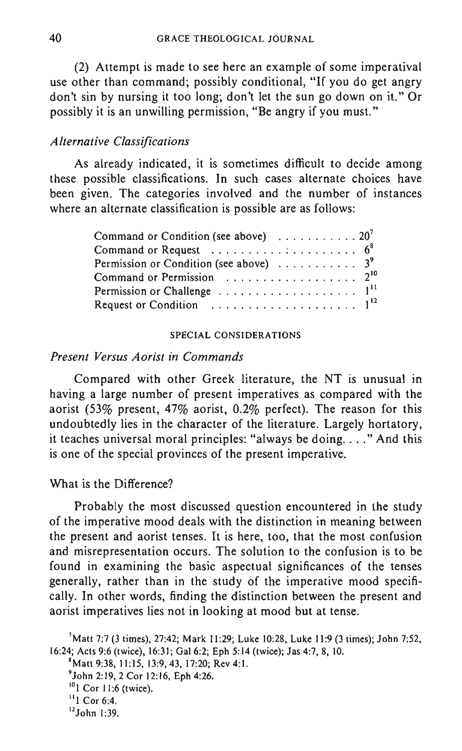(2) Attempt is made to see here an example of some imperatival use other than command; possibly conditional, "If you do get angry don't sin by nursing it too long; don't let the sun go down on it." Or possibly it is an unwilling permission, "Be angry if you must."

#### *Alternative Classifications*

As already indicated, it is sometimes difficult to decide among these possible classifications. In such cases alternate choices have been given. The categories involved and the number of instances where an alternate classification is possible are as follows:

| Command or Condition (see above) $\ldots \ldots \ldots 20^7$                  |  |  |  |  |  |  |
|-------------------------------------------------------------------------------|--|--|--|--|--|--|
| Command or Request $\ldots \ldots \ldots \ldots \ldots \ldots$ 6 <sup>8</sup> |  |  |  |  |  |  |
| Permission or Condition (see above) $\ldots \ldots \ldots$ 3 <sup>9</sup>     |  |  |  |  |  |  |
|                                                                               |  |  |  |  |  |  |
|                                                                               |  |  |  |  |  |  |
|                                                                               |  |  |  |  |  |  |

#### SPECIAL CONSIDERATIONS

## *Present Versus Aorist in Commands*

Compared with other Greek literature, the NT is unusual in having a large number of present imperatives as compared with the aorist (53% present, 47% aorist, 0.2% perfect). The reason for this undoubtedly lies in the character of the literature. Largely hortatory, it teaches universal moral principles: "always be doing .... " And this is one of the special provinces of the present imperative.

#### What is the Difference?

Probably the most discussed question encountered in the study of the imperative mood deals with the distinction in meaning between the present and aorist tenses. It is here, too, that the most confusion and misrepresentation occurs. The solution to the confusion is to be found in examining the basic aspectual significances of the tenses generally, rather than in the study of the imperative mood specifically. In other words, finding the distinction between the present and aorist imperatives lies not in looking at mood but at tense.

<sup>&#</sup>x27;Matt 7:7 (3 times), 27:42; Mark 11:29; Luke 10:28, Luke 11:9 (3 times); John 7:52, 16:24; Acts 9:6 (twice), 16:31; Gal 6:2; Eph 5:14 (twice); Jas 4:7, 8,10. 'Matt 9:38,11:15,13:9,43,17:20; Rev 4:1.

<sup>&#</sup>x27;John 2:19, 2 Cor 12:16, Eph 4:26.

<sup>&</sup>lt;sup>10</sup>1 Cor 11:6 (twice).

 $11$  Cor 6:4.

 $^{12}$ John 1:39.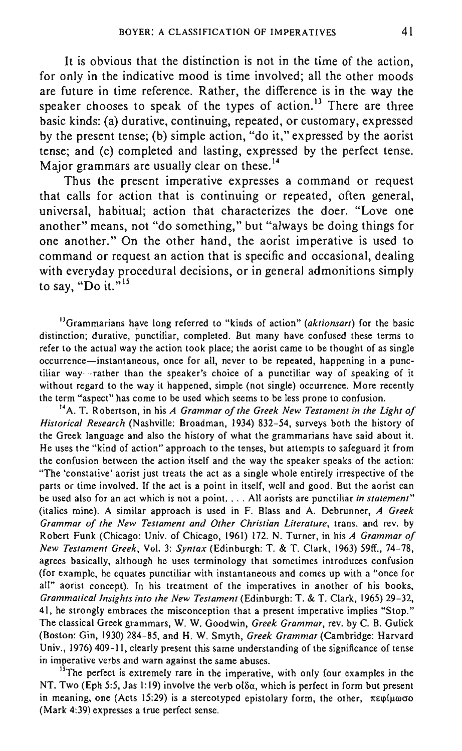It is obvious that the distinction is not in the time of the action, for only in the indicative mood is time involved; all the other moods are future in time reference. Rather, the difference is in the way the speaker chooses to speak of the types of action.<sup>13</sup> There are three basic kinds: (a) durative, continuing, repeated, or customary, expressed by the present tense; (b) simple action, "do it," expressed by the aorist tense; and (c) completed and lasting, expressed by the perfect tense. Major grammars are usually clear on these.<sup>14</sup>

Thus the present imperative expresses a command or request that calls for action that is continuing or repeated, often general, universal, habitual; action that characterizes the doer. "Love one another" means, not "do something," but "always be doing things for one another." On the other hand, the aorist imperative is used to command or request an action that is specific and occasional, dealing with everyday procedural decisions, or in general admonitions simply to say, "Do it." $15$ 

<sup>13</sup>Grammarians have long referred to "kinds of action" *(aktionsart)* for the basic distinction; durative, punctiliar, completed. But many have confused these terms to refer to the actual way the action took place; the aorist came to be thought of as single **occurrence-instantaneous, once for all, never to be repeated, happening in a punctiliar** way- - **rather than the speaker's choice of a punctiliar way of speaking of it**  without regard to the way it happened, simple (not single) occurrence. More recently **the term "aspect" has come to be used which seems to be less prone to confusion.** 

14A. T. Robertson, in his *A Grammar of the Greek New Testament in the Light of Historical Research* (Nashville: Broadman, 1934) 832~54, surveys both the history of **the Greek language and also the history of what the grammarians have said about it. He uses the "kind of action" approach to the tenses, but attempts to safeguard it from**  the confusion between the action itself and the way the speaker speaks of the action: "The 'constative' aorist just treats the act as a single whole entirely irrespective of the parts or time involved. If the act is a point in itself, well and good. But the aorist can **be used also for an act which is not a point .** .. **. All aorists are punctiliar** *in statement"*  (italics mine). A similar approach is used in F. Blass and A. Debrunner, *A Greek Grammar of the New Testament and Other Christian Literature,* trans. and rev. by Robert Funk (Chicago: Univ. of Chicago, 1961) 172. N. Turner, in his *A Grammar of New Testament Greek,* Vol. 3: *Syntax* (Edinburgh: T. & T. Clark, 1963) 59ff., 74~78, **agrees basically, although he uses terminology that sometimes introduces confusion (for example, he equates punctiliar with instantaneous and comes up with a "once for all" aorist concept). In his treatment of the imperatives in another of his books,**  *Grammatical Insights into the New Testament* (Edinburgh: T. & T. Clark, 1965) 29~32, **41 , he strongly embraces the misconception that a present imperative implies "Stop."**  The classical Greek grammars, W. W. Goodwin, *Greek Grammar,* rev. by C. B. Gulick (Boston: Gin, 1930) 284~85, and H. W. Smyth, *Greek Grammar* (Cambridge: Harvard Univ., 1976) 409-11, clearly present this same understanding of the significance of tense **in imperative verbs and warn against the same abuses.** 

<sup>15</sup>The perfect is extremely rare in the imperative, with only four examples in the NT. Two (Eph 5:5, Jas 1:19) involve the verb  $\partial \delta \alpha$ , which is perfect in form but present in meaning, one (Acts 15:29) is a stereotyped epistolary form, the other,  $\pi \epsilon \varphi/\mu \omega \sigma o$ (Mark 4:39) expresses a true perfect sense.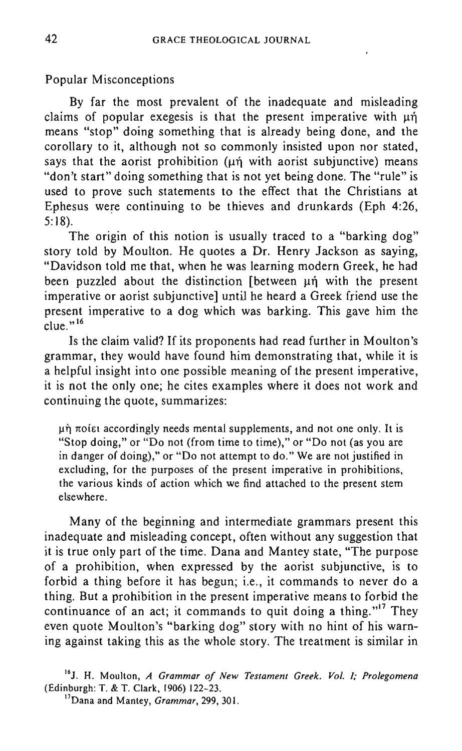Popular Misconceptions

By far the most prevalent of the inadequate and misleading claims of popular exegesis is that the present imperative with  $\mu_1$ means "stop" doing something that is already being done, and the corollary to it, although not so commonly insisted upon nor stated, says that the aorist prohibition ( $\mu$ n with aorist subjunctive) means "don't start" doing something that is not yet being done. The "rule" is used to prove such statements to the effect that the Christians at Ephesus were continuing to be thieves and drunkards (Eph 4:26, 5: 18).

The origin of this notion is usually traced to a "barking dog" story told by Moulton. He quotes a Dr. Henry Jackson as saying, "Davidson told me that, when he was learning modern Greek, he had been puzzled about the distinction [between  $\mu$ n with the present imperative or aorist subjunctive] until he heard a Greek friend use the present imperative to a dog which was barking. This gave him the  $\text{clue.}^{16}$ 

Is the claim valid? If its proponents had read further in Moulton's grammar, they would have found him demonstrating that, while it is a helpful insight into one possible meaning of the present imperative, it is not the only one; he cites examples where it does not work and continuing the quote, summarizes:

 $\mu$  $\eta$   $\pi$ oí $\varepsilon$  accordingly needs mental supplements, and not one only. It is "Stop doing," or "Do not (from time to time)," or "Do not (as you are in danger of doing)," or "Do not attempt to do." We are not justified in excluding, for the purposes of the present imperative in prohibitions, the various kinds of action which we find attached to the present stem elsewhere.

Many of the beginning and intermediate grammars present this inadequate and misleading concept, often without any suggestion that it is true only part of the time. Dana and Mantey state, "The purpose of a prohibition, when expressed by the aorist SUbjunctive, is to forbid a thing before it has begun; i.e., it commands to never do a thing. But a prohibition in the present imperative means to forbid the continuance of an act; it commands to quit doing a thing."<sup>17</sup> They even quote Moulton's "barking dog" story with no hint of his warning against taking this as the whole story. The treatment is similar in

**161, H. Moulton,** *A Grammar of New Testament Greek. Vol. I,' Prolegomena*  (Edinburgh: T. & T. Clark, 1906) 122-23.

**17Dana and Mantey,** *Grammar,* **299, 30 l.**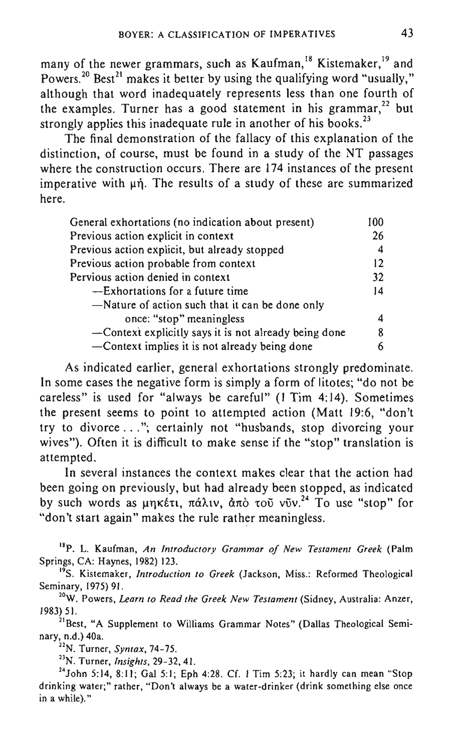many of the newer grammars, such as Kaufman,<sup>18</sup> Kistemaker,<sup>19</sup> and Powers.<sup>20</sup> Best<sup>21</sup> makes it better by using the qualifying word "usually," although that word inadequately represents less than one fourth of the examples. Turner has a good statement in his grammar,<sup>22</sup> but strongly applies this inadequate rule in another of his books.<sup>23</sup>

The final demonstration of the fallacy of this explanation of the distinction, of course, must be found in a study of the NT passages where the construction occurs. There are 174 instances of the present imperative with  $\mu$ n. The results of a study of these are summarized here.

| General exhortations (no indication about present)    |    |
|-------------------------------------------------------|----|
| Previous action explicit in context                   | 26 |
| Previous action explicit, but already stopped         | 4  |
| Previous action probable from context                 | 12 |
| Pervious action denied in context                     | 32 |
| -Exhortations for a future time                       | 14 |
| -Nature of action such that it can be done only       |    |
| once: "stop" meaningless                              | 4  |
| -Context explicitly says it is not already being done | 8  |
| -Context implies it is not already being done         |    |

As indicated earlier, general exhortations strongly predominate. **In** some cases the negative form is simply a form of litotes; "do not be careless" is used for "always be careful" (I Tim 4: 14). Sometimes the present seems to point to attempted action (Matt 19:6, "don't try to divorce ... "; certainly not "husbands, stop divorcing your wives"). Often it is difficult to make sense if the "stop" translation is attempted.

**In** several instances the context makes clear that the action had been going on previously, but had already been stopped, as indicated by such words as  $\mu \eta \kappa \xi \tau \tau$ ,  $\pi \dot{\alpha} \lambda \tau \nu$ ,  $\dot{\alpha} \pi \dot{\alpha}$   $\tau \dot{\alpha} \nu \ddot{\nu}$ .<sup>24</sup> To use "stop" for "don't start again" makes the rule rather meaningless.

"P. L. Kaufman, *An Introductory Grammar of New Testament Greek* (Palm Springs, CA: Haynes, 1982) 123.

<sup>19</sup>S. Kistemaker, *Introduction to Greek* (Jackson, Miss.: Reformed Theological Seminary. 1975) 91.

**20W. Powers,** *Learn to Read the Greek New Testament* **(Sidney, Australia: Anzer,**  1983) 51.

<sup>21</sup>Best, "A Supplement to Williams Grammar Notes" (Dallas Theological Seminary. n.d.) 40a.

"N. Turner, *Syntax, 74-75.* 

<sup>23</sup>N. Turner, *Insights*, 29-32, 41.

<sup>24</sup> John 5:14, 8:11; Gal 5:1; Eph 4:28. Cf. 1 Tim 5:23; it hardly can mean "Stop **drinking water;" rather, "Don't always be a water-drinker (drink something else once**  in a while)."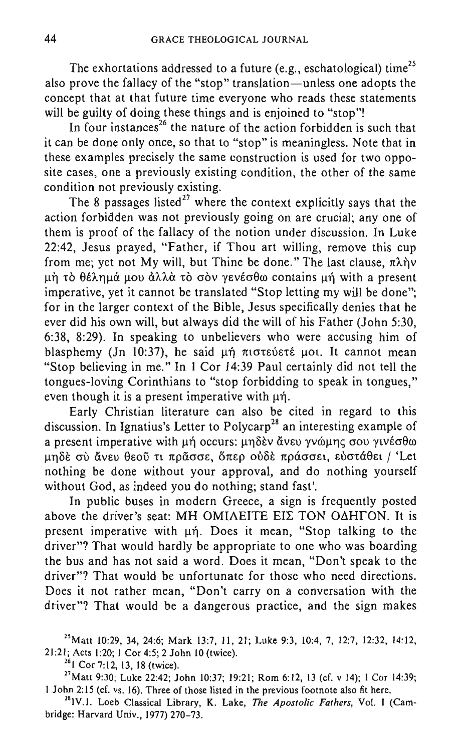The exhortations addressed to a future (e.g., eschatological) time<sup>25</sup> also prove the fallacy of the "stop" translation-unless one adopts the concept that at that future time everyone who reads these statements will be guilty of doing these things and is enjoined to "stop"!

In four instances<sup>26</sup> the nature of the action forbidden is such that it can be done only once, so that to "stop" is meaningless. Note that in these examples precisely the same construction is used for two opposite cases, one a previously existing condition, the other of the same condition not previously existing.

The 8 passages listed<sup>27</sup> where the context explicitly says that the action forbidden was not previously going on are crucial; anyone of them is proof of the fallacy of the notion under discussion. In Luke 22:42, Jesus prayed, "Father, if Thou art willing, remove this cup from me; yet not My will, but Thine be done." The last clause,  $\pi \lambda n v$ μή το θέλημά μου άλλα το σον γενέσθω contains μή with a present imperative, yet it cannot be translated "Stop letting my will be done"; for in the larger context of the Bible, Jesus specifically denies that he ever did his own will, but always did the will of his Father (John 5:30, 6:38, 8:29). In speaking to unbelievers who were accusing him of blasphemy (Jn 10:37), he said  $\mu \eta$  motevers  $\mu$ ot. It cannot mean "Stop believing in me." In I Cor 14:39 Paul certainly did not tell the tongues-loving Corinthians to "stop forbidding to speak in tongues," even though it is a present imperative with  $\mu$ n.

Early Christian literature can also be cited in regard to this discussion. In Ignatius's Letter to Polycarp'8 an interesting example of a present imperative with μή occurs: μηδεν άνευ γνώμης σου γινέσθω μηδέ σύ άνευ θεού τι πράσσε, όπερ ούδε πράσσει, εύστάθει / 'Let nothing be done without your approval, and do nothing yourself without God, as indeed you do nothing; stand fast'.

In public buses in modern Greece, a sign is frequently posted above the driver's seat: MH OMIAEITE EIE TON O $\triangle$ HTON. It is present imperative with  $\mu\eta$ . Does it mean, "Stop talking to the driver"? That would hardly be appropriate to one who was boarding the bus and has not said a word. Does it mean, "Don't speak to the driver"? That would be unfortunate for those who need directions. Does it not rather mean, "Don't carry on a conversation with the driver"? That would be a dangerous practice, and the sign makes

<sup>25</sup> Matt 10:29, 34, 24:6; Mark 13:7, 11, 21; Luke 9:3, 10:4, 7, 12:7, 12:32, 14:12, 21:21; Acts 1:20; 1 Cor 4:5; 2 John 10 (twice).

<sup>26</sup> 1 Cor 7:12, 13, 18 (twice).

 $^{27}$ Matt 9:30; Luke 22:42; John 10:37; 19:21; Rom 6:12, 13 (cf. v 14); 1 Cor 14:39; I John 2: IS (cf. vs. 16). Three of those listed in the previous footnote also fit here.

"IV.!. Loeb Classical Library, K. Lake, *The Apostolic Fathers,* Vol. I (Cambridge: Harvard Univ., 1977) 270-73.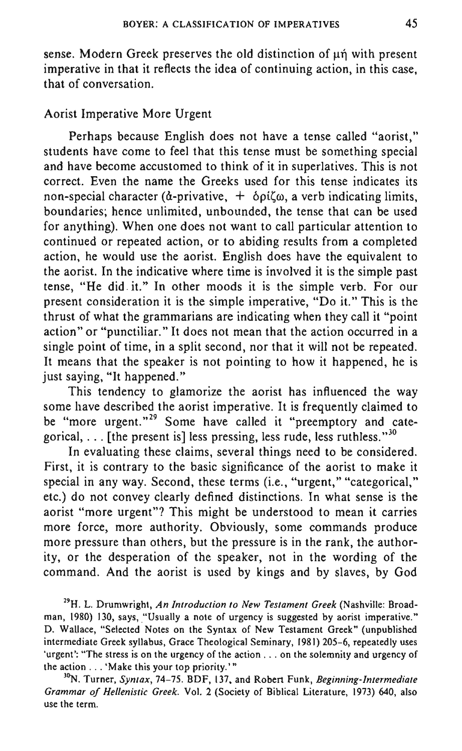sense. Modern Greek preserves the old distinction of  $\mu$ n with present imperative in that it reflects the idea of continuing action, in this case, that of conversation.

# Aorist Imperative More Urgent

Perhaps because English does not have a tense called "aorist," students have come to feel that this tense must be something special and have become accustomed to think of it in superlatives. This is not correct. Even the name the Greeks used for this tense indicates its non-special character ( $\dot{a}$ -privative,  $+$   $\delta \rho \dot{\rho}(\omega)$ , a verb indicating limits, boundaries; hence unlimited, unbounded, the tense that can be used for anything). When one does not want to call particular attention to continued or repeated action, or to abiding results from a completed action, he would use the aorist. English does have the equivalent to the aorist. In the indicative where time is involved it is the simple past tense, "He did it." In other moods it is the simple verb. For our present consideration it is the simple imperative, "Do it." This is the thrust of what the grammarians are indicating when they call it "point action" or "punctiliar." It does not mean that the action occurred in a single point of time, in a split second, nor that it will not be repeated. It means that the speaker is not pointing to how it happened, he is just saying, "It happened."

This tendency to glamorize the aorist has influenced the way some have described the aorist imperative. It is frequently claimed to be "more urgent."<sup>29</sup> Some have called it "preemptory and categorical,  $\ldots$  [the present is] less pressing, less rude, less ruthless."<sup>30</sup>

In evaluating these claims, several things need to be considered. First, it is contrary to the basic significance of the aorist to make it special in any way. Second, these terms (i.e., "urgent," "categorical," etc.) do not convey clearly defined distinctions. In what sense is the aorist "more urgent"? This might be understood to mean it carries more force, more authority. Obviously, some commands produce more pressure than others, but the pressure is in the rank, the authority, or the desperation of the speaker, not in the wording of the command. And the aorist is used by kings and by slaves, by God

" H. L. Drumwright, *An Introduction* to *New Testament Greek* (Nashville: Broadman, 1980) 130, says, "Usually a note of urgency is suggested by aorist imperative." D. Wallace, "Selected Notes on the Syntax of New Testament Greek" (unpublished intermediate Greek syllabus, Grace Theological Seminary, 1981) 205-6, repeatedly uses 'urgent': "The stress is on the urgency of the action ... on the solemnity and urgency of the action ... 'Make this your top priority. '"

"N. Turner, *Syntax,* 74-75. BDF, 137, and Robert Funk, *Beginning-Intermediate Grammar of Hellenistic Greek.* Vol. 2 (Society of Biblical Literature, 1973) 640, also **use the term.**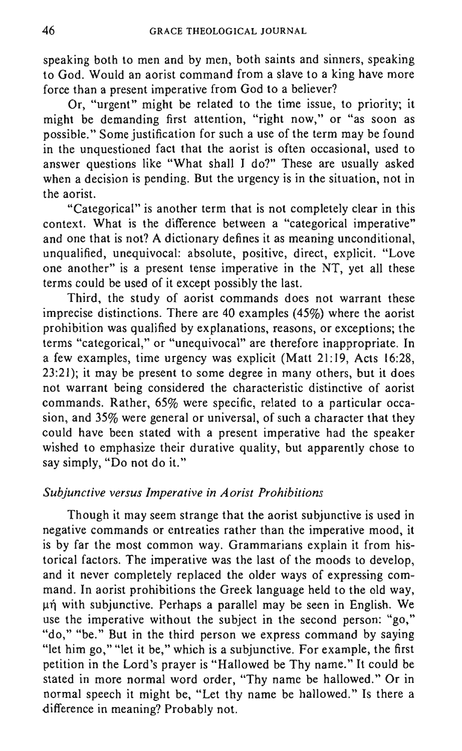speaking both to men and by men, both saints and sinners, speaking to God. Would an aorist command from a slave to a king have more force than a present imperative from God to a believer?

Or, "urgent" might be related to the time issue, to priority; it might be demanding first attention, "right now," or "as soon as possible." Some justification for such a use of the term may be found in the unquestioned fact that the aorist is often occasional, used to answer questions like "What shall I do?" These are usually asked when a decision is pending. But the urgency is in the situation, not in the aorist.

"Categorical" is another term that is not completely clear in this context. What is the difference between a "categorical imperative" and one that is not? A dictionary defines it as meaning unconditional, unqualified, unequivocal: absolute, positive, direct, explicit. "Love one another" is a present tense imperative in the NT, yet all these terms could be used of it except possibly the last.

Third, the study of aorist commands does not warrant these imprecise distinctions. There are 40 examples (45%) where the aorist prohibition was qualified by explanations, reasons, or exceptions; the terms "categorical," or "unequivocal" are therefore inappropriate. In a few examples, time urgency was explicit (Matt 21:19, Acts 16:28, 23:21); it may be present to some degree in many others, but it does not warrant being considered the characteristic distinctive of aorist commands. Rather, 65% were specific, related to a particular occasion, and 35% were general or universal, of such a character that they could have been stated with a present imperative had the speaker wished to emphasize their durative quality, but apparently chose to say simply, "Do not do it."

## *Subjunctive versus Imperative in Aorist Prohibitions*

Though it may seem strange that the aorist subjunctive is used in negative commands or entreaties rather than the imperative mood, it is by far the most common way. Grammarians explain it from historical factors. The imperative was the last of the moods to develop, and it never completely replaced the older ways of expressing command. In aorist prohibitions the Greek language held to the old way, µή with subjunctive. Perhaps a parallel may be seen in English. We use the imperative without the subject in the second person: "go," "do," "be." But in the third person we express command by saying "let him go," "let it be," which is a subjunctive. For example, the first petition in the Lord's prayer is "Hallowed be Thy name." It could be stated in more normal word order, "Thy name be hallowed." Or in normal speech it might be, "Let thy name be hallowed." Is there a difference in meaning? Probably not.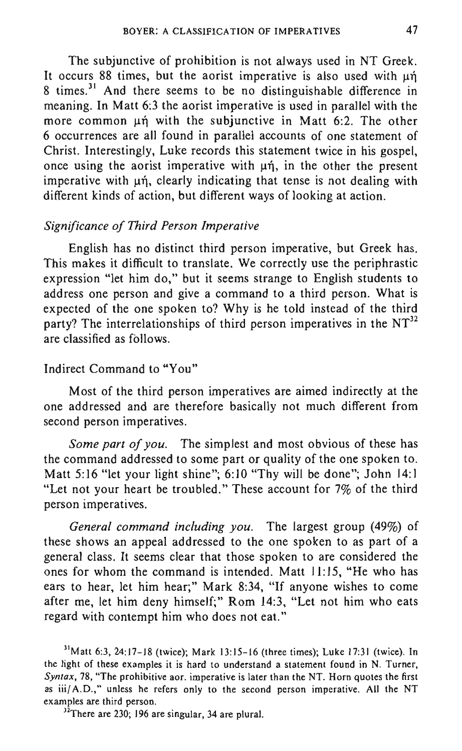The subjunctive of prohibition is not always used in NT Greek. It occurs 88 times, but the aorist imperative is also used with  $\mu$ n 8 times.<sup>31</sup> And there seems to be no distinguishable difference in meaning. In Matt 6:3 the aorist imperative is used in parallel with the more common un with the subjunctive in Matt 6:2. The other 6 occurrences are all found in parallel accounts of one statement of Christ. Interestingly, Luke records this statement twice in his gospel, once using the aorist imperative with  $\mu$ n, in the other the present imperative with  $\mu$ n, clearly indicating that tense is not dealing with different kinds of action, but different ways of looking at action.

#### *Significance of Third Person Imperative*

English has no distinct third person imperative, but Greek has. This makes it difficult to translate. We correctly use the periphrastic expression "let him do," but it seems strange to English students to address one person and give a command to a third person. What is expected of the one spoken to? Why is he told instead of the third party? The interrelationships of third person imperatives in the  $NT<sup>32</sup>$ are classified as follows.

## Indirect Command to "You"

Most of the third person imperatives are aimed indirectly at the one addressed and are therefore basically not much different from second person imperatives.

*Some part of you.* The simplest and most obvious of these has the command addressed to some part or quality of the one spoken to. Matt 5:16 "let your light shine"; 6:10 "Thy will be done"; John 14:1 "Let not your heart be troubled." These account for 7% of the third person imperatives.

*General command including you.* The largest group (49%) of these shows an appeal addressed to the one spoken to as part of a general class. It seems clear that those spoken to are considered the ones for whom the command is intended. Matt 11:15, "He who has ears to hear, let him hear;" Mark 8:34, "If anyone wishes to come after me, let him deny himself;" Rom 14:3, "Let not him who eats regard with contempt him who does not eat."

 $31$  Matt 6:3, 24:17-18 (twice); Mark 13:15-16 (three times); Luke 17:31 (twice). In the light of these examples it is hard to understand a statement found in N. Turner, *Syntax,* 78, "The prohibitive aor. imperative is later than the NT. Horn quotes the first as iii/ A.D.," unless he refers only to the second person imperative. All the NT **examples are third person.** 

 $32$ There are 230; 196 are singular, 34 are plural.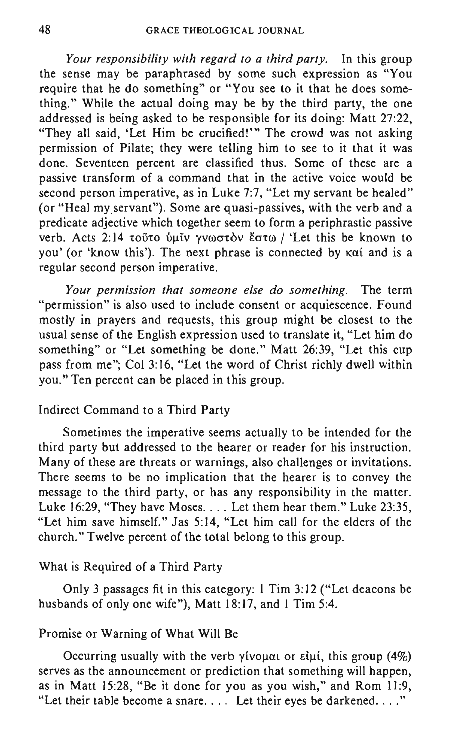*Your responsibility with regard to a third party.* In this group the sense may be paraphrased by some such expression as "You require that he do something" or "You see to it that he does something." While the actual doing may be by the third party, the one addressed is being asked to be responsible for its doing: Matt 27:22, "They all said, 'Let Him be crucified!'" The crowd was not asking permission of Pilate; they were telling him to see to it that it was done. Seventeen percent are classified thus. Some of these are a passive transform of a command that in the active voice would be second person imperative, as in Luke 7:7, "Let my servant be healed" (or "Heal myservant"). Some are quasi-passives, with the verb and a predicate adjective which together seem to form a periphrastic passive verb. Acts 2:14 τοῦτο ὑμῖν γνωστὸν ἔστω / 'Let this be known to you' (or 'know this'). The next phrase is connected by Kat and is a regular second person imperative.

*Your permission that someone else do something.* The term "permission" is also used to include consent or acquiescence. Found mostly in prayers and requests, this group might be closest to the usual sense of the English expression used to translate it, "Let him do something" or "Let something be done." Matt 26:39, "Let this cup pass from me"; Col 3:16, "Let the word of Christ richly dwell within you." Ten percent can be placed in this group.

## Indirect Command to a Third Party

Sometimes the imperative seems actually to be intended for the third party but addressed to the hearer or reader for his instruction. Many of these are threats or warnings, also challenges or invitations. There seems to be no implication that the hearer is to convey the message to the third party, or has any responsibility in the matter. Luke 16:29, "They have Moses. . . . Let them hear them." Luke 23:35, "Let him save himself." Jas 5:14, "Let him call for the elders of the church." Twelve percent of the total belong to this group.

#### What is Required of a Third Party

Only 3 passages fit in this category: 1 Tim 3: 12 ("Let deacons be husbands of only one wife"), Matt 18:17, and 1 Tim 5:4.

# Promise or Warning of What Will Be

Occurring usually with the verb  $\gamma$ ivouat or  $\varepsilon$ iui, this group (4%). serves as the announcement or prediction that something will happen, as in Matt 15:28, "Be it done for you as you wish," and Rom 11:9, "Let their table become a snare.... Let their eyes be darkened...."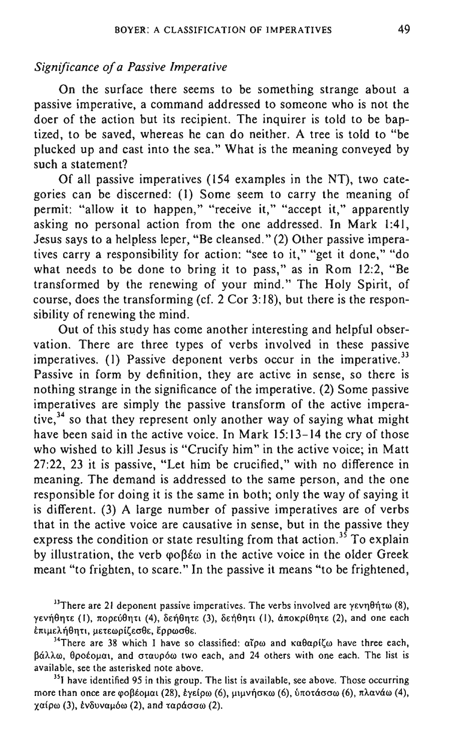## *Significance of a Passive Imperative*

On the surface there seems to be something strange about a passive imperative, a command addressed to someone who is not the doer of the action but its recipient. The inquirer is told to be baptized, to be saved, whereas he can do neither. A tree is told to "be plucked up and cast into the sea." What is the meaning conveyed by such a statement?

Of all passive imperatives (154 examples in the NT), two categories can be discerned: (I) Some seem to carry the meaning of permit: "allow it to happen," "receive it," "accept it," apparently asking no personal action from the one addressed. In Mark 1:41, Jesus says to a helpless leper, "Be cleansed." (2) Other passive imperatives carry a responsibility for action: "see to it," "get it done," "do what needs to be done to bring it to pass," as in Rom 12:2, "Be transformed by the renewing of your mind." The Holy Spirit, of course, does the transforming (cf. 2 Cor 3:18), but there is the responsibility of renewing the mind.

Out of this study has come another interesting and helpful observation. There are three types of verbs involved in these passive imperatives. (1) Passive deponent verbs occur in the imperative.<sup>33</sup> Passive in form by definition, they are active in sense, so there is nothing strange in the significance of the imperative. (2) Some passive imperatives are simply the passive transform of the active imperative, $34$  so that they represent only another way of saying what might have been said in the active voice. In Mark 15:13-14 the cry of those who wished to kill Jesus is "Crucify him" in the active voice; in Matt 27:22, 23 it is passive, "Let him be crucified," with no difference in meaning. The demand is addressed to the same person, and the one responsible for doing it is the same in both; only the way of saying it is different. (3) A large number of passive imperatives are of verbs that in the active voice are causative in sense, but in the passive they express the condition or state resulting from that action.<sup>35</sup> To explain by illustration, the verb  $\varphi \circ \beta \not\models \varphi$  in the active voice in the older Greek meant "to frighten, to scare." In the passive it means "to be frightened,

<sup>35</sup> I have identified 95 in this group. The list is available, see above. Those occurring more than once are φοβέομαι (28), έγείρω (6), μιμνήσκω (6), ύποτάσσω (6), πλανάω (4),  $\chi$ αίρω (3), ένδυναμόω (2), and ταράσσω (2).

 $^{13}$ There are 21 deponent passive imperatives. The verbs involved are yevn $\theta$ nto (8),  $\gamma$ ενήθητε (Ι), πορεύθητι (4), δεήθητε (3), δεήθητι (Ι), άποκρίθητε (2), and one each έπιμελήθητι, μετεωρίζεσθε, έρρωσθε.

<sup>&</sup>lt;sup>34</sup>There are 38 which I have so classified:  $\alpha \tilde{\rho} \omega$  and  $\kappa \alpha \theta \alpha \rho i \zeta \omega$  have three each, βάλλω, θροέομαι, and σταυρόω two each, and 24 others with one each. The list is **available, see the asterisked note above.**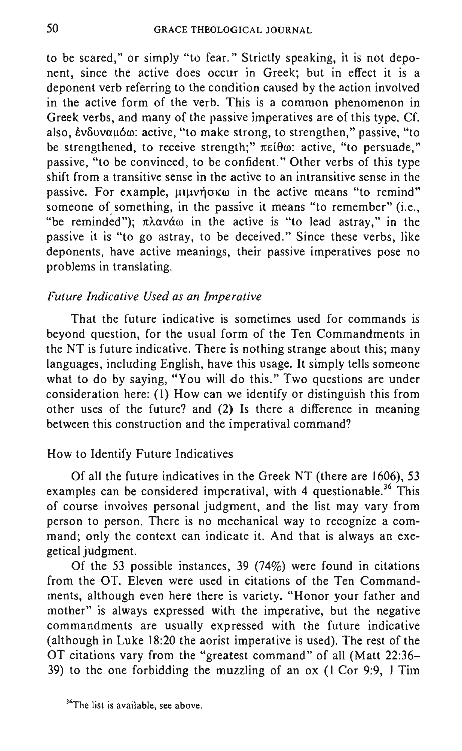to be scared," or simply "to fear." Strictly speaking, it is not deponent, since the active does occur in Greek; but in effect it is a deponent verb referring to the condition caused by the action involved in the active form of the verb. This is a common phenomenon in Greek verbs, and many of the passive imperatives are of this type. Cf. also, ένδυναμόω: active, "to make strong, to strengthen," passive, "to be strengthened, to receive strength;"  $\pi \in i\theta\omega$ : active, "to persuade," passive, "to be convinced, to be confident." Other verbs of this type shift from a transitive sense in the active to an intransitive sense in the passive. For example,  $\mu\mu\nu\eta\sigma\kappa\omega$  in the active means "to remind" someone of something, in the passive it means "to remember" (i.e., "be reminded");  $\pi\lambda\alpha\nu\alpha\omega$  in the active is "to lead astray," in the passive it is "to go astray, to be deceived." Since these verbs, like deponents, have active meanings, their passive imperatives pose no problems in translating.

## *Future Indicative Used as an Imperative*

That the future indicative is sometimes used for commands is beyond question, for the usual form of the Ten Commandments in the NT is future indicative. There is nothing strange about this; many languages, including English, have this usage. It simply tells someone what to do by saying, "You will do this." Two questions are under consideration here: (I) How can we identify or distinguish this from other uses of the future? and (2) Is there a difference in meaning between this construction and the imperatival command?

## How to Identify Future Indicatives

Of all the future indicatives in the Greek NT (there are 1606), 53 examples can be considered imperatival, with 4 questionable.<sup>36</sup> This of course involves personal judgment, and the list may vary from person to person. There is no mechanical way to recognize a command; only the context can indicate it. And that is always an exegetical judgment.

Of the 53 possible instances, 39 (74%) were found in citations from the OT. Eleven were used in citations of the Ten Commandments, although even here there is variety. "Honor your father and mother" is always expressed with the imperative, but the negative commandments are usually expressed with the future indicative (although in Luke 18:20 the aorist imperative is used). The rest of the OT citations vary from the "greatest command" of all (Matt 22:36- 39) to the one forbidding the muzzling of an ox (I Cor 9:9, I Tim

**<sup>36</sup>The list is available, see above.**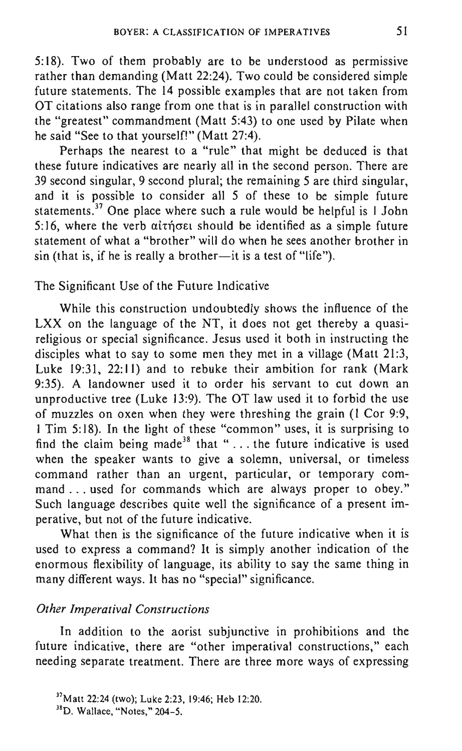5:18). Two of them probably are to be understood as permissive rather than demanding (Matt 22:24). Two could be considered simple future statements. The 14 possible examples that are not taken from OT citations also range from one that is in parallel construction with the "greatest" commandment (Matt 5:43) to one used by Pilate when he said "See to that yourself!" (Matt 27:4).

Perhaps the nearest to a "rule" that might be deduced is that these future indicatives are nearly all in the second person. There are 39 second singular, 9 second plural; the remaining 5 are third singular, and it is possible to consider all 5 of these to be simple future statements.<sup>37</sup> One place where such a rule would be helpful is I John 5:16, where the verb  $\alpha$  and  $\alpha$  should be identified as a simple future statement of what a "brother" will do when he sees another brother in  $sin$  (that is, if he is really a brother-it is a test of "life").

# The Significant Use of the Future Indicative

While this construction undoubtedly shows the influence of the LXX on the language of the NT, it does not get thereby a quasireligious or special significance. Jesus used it both in instructing the disciples what to say to some men they met in a village (Matt 21:3, Luke 19:31, 22:11) and to rebuke their ambition for rank (Mark 9:35). A landowner used it to order his servant to cut down an unproductive tree (Luke 13:9). The OT law used it to forbid the use of muzzles on oxen when they were threshing the grain (I Cor 9:9, I Tim 5:18). In the light of these "common" uses, it is surprising to find the claim being made<sup>38</sup> that " $\ldots$  the future indicative is used when the speaker wants to give a solemn, universal, or timeless command rather than an urgent, particular, or temporary command ... used for commands which are always proper to obey." Such language describes quite well the significance of a present imperative, but not of the future indicative.

What then is the significance of the future indicative when it is used to express a command? It is simply another indication of the enormous flexibility of language, its ability to say the same thing in many different ways. It has no "special" significance.

# *Other Imperatival Constructions*

In addition to the aorist subjunctive in prohibitions and the future indicative, there are "other imperatival constructions," each needing separate treatment. There are three more ways of expressing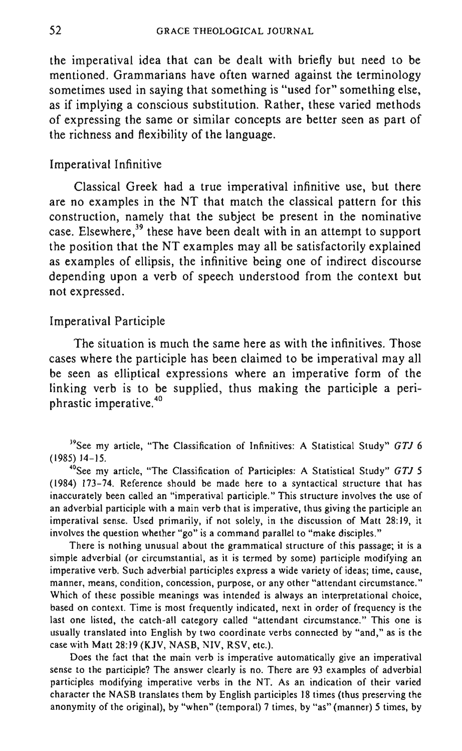the imperatival idea that can be dealt with briefly but need to be mentioned. Grammarians have often warned against the terminology sometimes used in saying that something is "used for" something else, as if implying a conscious substitution. Rather, these varied methods of expressing the same or similar concepts are better seen as part of the richness and flexibility of the language.

#### Imperatival Infinitive

Classical Greek had a true imperatival infinitive use, but there are no examples in the NT that match the classical pattern for this construction, namely that the subject be present in the nominative case. Elsewhere,<sup>39</sup> these have been dealt with in an attempt to support the position that the NT examples may all be satisfactorily explained as examples of ellipsis, the infinitive being one of indirect discourse depending upon a verb of speech understood from the context but not expressed.

## Imperatival Participle

The situation is much the same here as with the infinitives. Those cases where the participle has been claimed to be imperatival may all be seen as elliptical expressions where an imperative form of the linking verb is to be supplied, thus making the participle a periphrastic imperative.<sup>40</sup>

"See my article. "The Classification of Participles: A Statistical Study" *GTJ 5*  (1984) 173-74. Reference should be made here to a syntactical structure that has inaccurately been called an "imperatival participle." This structure involves the use of **an adverbial participle with a main verb that is imperative, thus giving the participle an imperatival sense. Used primarily, if not solely. in the discussion of Matt 28: 19, it involves the question whether "go" is a command parallel to "make disciples."** 

There is nothing unusual about the grammatical structure of this passage; it is a simple adverbial (or circumstantial, as it is termed by some) participle modifying an **imperative verb. Such adverbial participles express a wide variety of ideas; time, cause, manner, means, condition, concession, purpose, or any other "attendant circumstance."**  Which of these possible meanings was intended is always an interpretational choice, based on context. Time is most frequently indicated, next in order of frequency is the last one listed, the catch-all category called "attendant circumstance." This one is usually translated into English by two coordinate verbs connected by "and," as is the case with Matt 28:19 (KJV, NASB, NIV, RSV, etc.).

Does the fact that the main verb is imperative automatically give an imperatival sense to the participle? The answer clearly is no. There are 93 examples of adverbial participles modifying imperative verbs in the NT. As an indication of their varied character the NASB translates them by English participles 18 times (thus preserving the anonymity of the original), by "when" (temporal) 7 times, by "as" (manner) 5 times, by

<sup>&</sup>quot;See my article, "The Classification of Infinitives: A Statistical Study" *GTJ 6*  (1985) 14-15.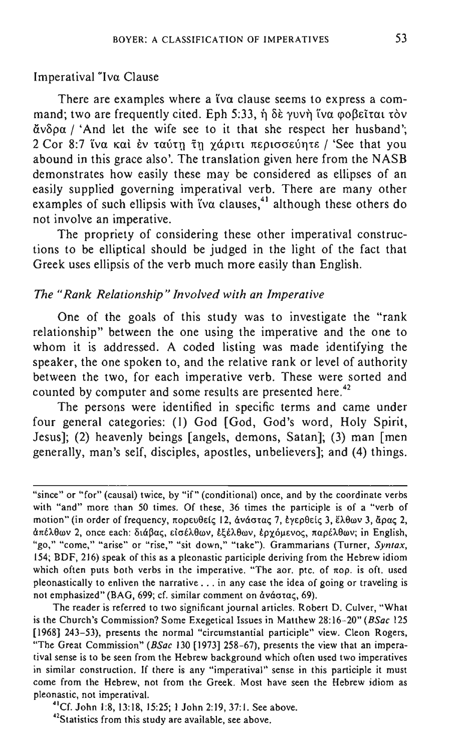## Imperatival "Iva Clause

There are examples where a tv $\alpha$  clause seems to express a command; two are frequently cited. Eph 5:33, ή δε γυνή ΐνα φοβεῖται τὸν  $\tilde{\alpha}$ νδρα / 'And let the wife see to it that she respect her husband'; 2 Cor 8:7 ΐνα καὶ ἐν ταύτη τη γάριτι περισσεύητε / 'See that you abound in this grace also'. The translation given here from the NASB demonstrates how easily these may be considered as ellipses of an easily supplied governing imperatival verb. There are many other examples of such ellipsis with tva clauses,<sup>41</sup> although these others do not involve an imperative.

The propriety of considering these other imperatival constructions to be elliptical should be judged in the light of the fact that Greek uses ellipsis of the verb much more easily than English.

## *The "Rank Relationship" Involved with an Imperative*

One of the goals of this study was to investigate the "rank relationship" between the one using the imperative and the one to whom it is addressed. A coded listing was made identifying the speaker, the one spoken to, and the relative rank or level of authority between the two, for each imperative verb. These were sorted and counted by computer and some results are presented here.<sup>42</sup>

The persons were identified in specific terms and came under four general categories: (I) God [God, God's word, Holy Spirit, Jesus]; (2) heavenly beings [angels, demons, Satan]; (3) man [men generally, man's self, disciples, apostles, unbelievers]; and (4) things.

**The reader is referred to two significant journal articles. Robert D. Culver, "What**  is the Church's Commission? Some Exegetical Issues in Matthew 28:16-20" *(BSac 125* [1968] 243-53), presents the normal "circumstantial participle" view. Cleon Rogers, "The Great Commission" *(BSac* 130 [1973] 258-67), presents the view that an imperatival sense is to be seen from the Hebrew background which often used two imperatives **in similar construction. If there is any "imperatival" sense in this participle it must**  come from the Hebrew, not from the Greek. Most have seen the Hebrew idiom as **pleonastic! not imperatival.** 

4lCf. John 1:8, 13:18, 15:25; I John 2:19, 37:1. See above.

**42Statistics from this study are available, see above.** 

<sup>&</sup>quot;since" or "for" (causal) twice, by "if" (conditional) once, and by the coordinate verbs with "and" more than 50 times. Of these, 36 times the participle is of a "verb of motion" (in order of frequency, πορευθείς 12, άνάστας 7, έγερθείς 3, έλθων 3, άρας 2, απέλθων 2, once each: διάβας, είσέλθων, εξέλθων, ερχόμενος, παρέλθων; in English, "go," "come," "arise" or "rise," "sit down," "take"). Grammarians (Turner, Syntax, 154; BDF, 216) speak of this as a pleonastic participle deriving from the Hebrew idiom **which often puts both verbs in the imperative. "The aor. pte. of nop. is oft. used pleonastically to enliven the narrative ... in any case the idea of going or traveling is**  not emphasized" (BAG, 699; cf. similar comment on άνάστας, 69).